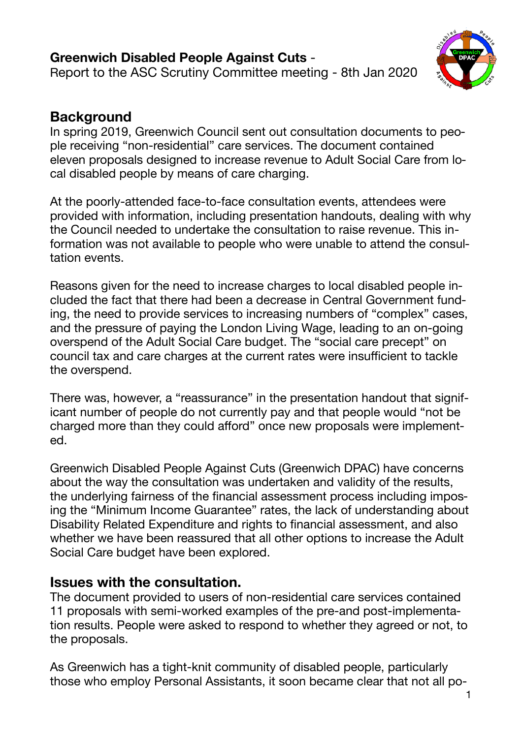**Greenwich Disabled People Against Cuts** - Report to the ASC Scrutiny Committee meeting - 8th Jan 2020



# **Background**

In spring 2019, Greenwich Council sent out consultation documents to people receiving "non-residential" care services. The document contained eleven proposals designed to increase revenue to Adult Social Care from local disabled people by means of care charging.

At the poorly-attended face-to-face consultation events, attendees were provided with information, including presentation handouts, dealing with why the Council needed to undertake the consultation to raise revenue. This information was not available to people who were unable to attend the consultation events.

Reasons given for the need to increase charges to local disabled people included the fact that there had been a decrease in Central Government funding, the need to provide services to increasing numbers of "complex" cases, and the pressure of paying the London Living Wage, leading to an on-going overspend of the Adult Social Care budget. The "social care precept" on council tax and care charges at the current rates were insufficient to tackle the overspend.

There was, however, a "reassurance" in the presentation handout that significant number of people do not currently pay and that people would "not be charged more than they could afford" once new proposals were implemented.

Greenwich Disabled People Against Cuts (Greenwich DPAC) have concerns about the way the consultation was undertaken and validity of the results, the underlying fairness of the financial assessment process including imposing the "Minimum Income Guarantee" rates, the lack of understanding about Disability Related Expenditure and rights to financial assessment, and also whether we have been reassured that all other options to increase the Adult Social Care budget have been explored.

### **Issues with the consultation.**

The document provided to users of non-residential care services contained 11 proposals with semi-worked examples of the pre-and post-implementation results. People were asked to respond to whether they agreed or not, to the proposals.

As Greenwich has a tight-knit community of disabled people, particularly those who employ Personal Assistants, it soon became clear that not all po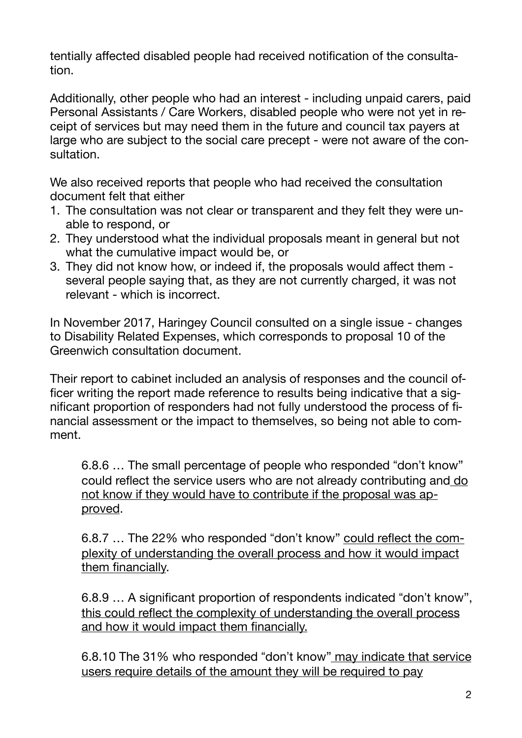tentially affected disabled people had received notification of the consultation.

Additionally, other people who had an interest - including unpaid carers, paid Personal Assistants / Care Workers, disabled people who were not yet in receipt of services but may need them in the future and council tax payers at large who are subject to the social care precept - were not aware of the consultation.

We also received reports that people who had received the consultation document felt that either

- 1. The consultation was not clear or transparent and they felt they were unable to respond, or
- 2. They understood what the individual proposals meant in general but not what the cumulative impact would be, or
- 3. They did not know how, or indeed if, the proposals would affect them several people saying that, as they are not currently charged, it was not relevant - which is incorrect.

In November 2017, Haringey Council consulted on a single issue - changes to Disability Related Expenses, which corresponds to proposal 10 of the Greenwich consultation document.

Their report to cabinet included an analysis of responses and the council officer writing the report made reference to results being indicative that a significant proportion of responders had not fully understood the process of financial assessment or the impact to themselves, so being not able to comment.

6.8.6 … The small percentage of people who responded "don't know" could reflect the service users who are not already contributing and do not know if they would have to contribute if the proposal was approved.

6.8.7 … The 22% who responded "don't know" could reflect the complexity of understanding the overall process and how it would impact them financially.

6.8.9 … A significant proportion of respondents indicated "don't know", this could reflect the complexity of understanding the overall process and how it would impact them financially.

6.8.10 The 31% who responded "don't know" may indicate that service users require details of the amount they will be required to pay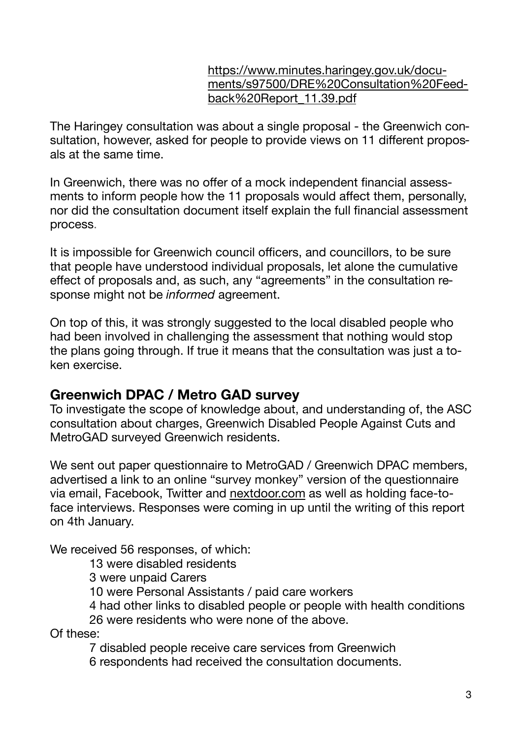#### [https://www.minutes.haringey.gov.uk/docu](https://www.minutes.haringey.gov.uk/documents/s97500/DRE%252520Consultation%252520Feedback%252520Report_11.39.pdf)[ments/s97500/DRE%20Consultation%20Feed](https://www.minutes.haringey.gov.uk/documents/s97500/DRE%252520Consultation%252520Feedback%252520Report_11.39.pdf)[back%20Report\\_11.39.pdf](https://www.minutes.haringey.gov.uk/documents/s97500/DRE%252520Consultation%252520Feedback%252520Report_11.39.pdf)

The Haringey consultation was about a single proposal - the Greenwich consultation, however, asked for people to provide views on 11 different proposals at the same time.

In Greenwich, there was no offer of a mock independent financial assessments to inform people how the 11 proposals would affect them, personally, nor did the consultation document itself explain the full financial assessment process.

It is impossible for Greenwich council officers, and councillors, to be sure that people have understood individual proposals, let alone the cumulative effect of proposals and, as such, any "agreements" in the consultation response might not be *informed* agreement.

On top of this, it was strongly suggested to the local disabled people who had been involved in challenging the assessment that nothing would stop the plans going through. If true it means that the consultation was just a token exercise.

## **Greenwich DPAC / Metro GAD survey**

To investigate the scope of knowledge about, and understanding of, the ASC consultation about charges, Greenwich Disabled People Against Cuts and MetroGAD surveyed Greenwich residents.

We sent out paper questionnaire to MetroGAD / Greenwich DPAC members, advertised a link to an online "survey monkey" version of the questionnaire via email, Facebook, Twitter and [nextdoor.com](http://nextdoor.com) as well as holding face-toface interviews. Responses were coming in up until the writing of this report on 4th January.

We received 56 responses, of which:

13 were disabled residents

3 were unpaid Carers

10 were Personal Assistants / paid care workers

4 had other links to disabled people or people with health conditions

26 were residents who were none of the above.

Of these:

7 disabled people receive care services from Greenwich

6 respondents had received the consultation documents.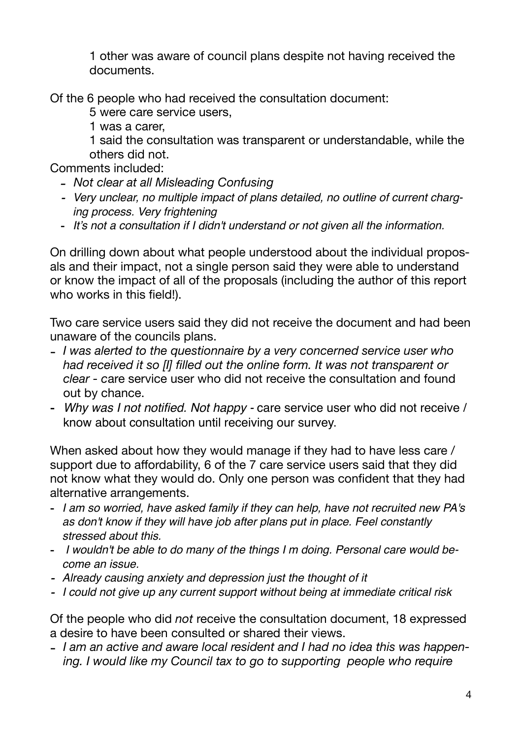1 other was aware of council plans despite not having received the documents.

Of the 6 people who had received the consultation document:

5 were care service users,

1 was a carer,

1 said the consultation was transparent or understandable, while the others did not.

Comments included:

- *- Not clear at all Misleading Confusing*
- *- Very unclear, no multiple impact of plans detailed, no outline of current charging process. Very frightening*
- *It's not a consultation if I didn't understand or not given all the information.*

On drilling down about what people understood about the individual proposals and their impact, not a single person said they were able to understand or know the impact of all of the proposals (including the author of this report who works in this field!).

Two care service users said they did not receive the document and had been unaware of the councils plans.

- *I was alerted to the questionnaire by a very concerned service user who had received it so [I] filled out the online form. It was not transparent or clear - c*are service user who did not receive the consultation and found out by chance.
- *Why was I not notified. Not happy* care service user who did not receive / know about consultation until receiving our survey.

When asked about how they would manage if they had to have less care / support due to affordability, 6 of the 7 care service users said that they did not know what they would do. Only one person was confident that they had alternative arrangements.

- *I am so worried, have asked family if they can help, have not recruited new PA's as don't know if they will have job after plans put in place. Feel constantly stressed about this.*
- - *I wouldn't be able to do many of the things I m doing. Personal care would become an issue.*
- *- Already causing anxiety and depression just the thought of it*
- *- I could not give up any current support without being at immediate critical risk*

Of the people who did *not* receive the consultation document, 18 expressed a desire to have been consulted or shared their views.

- *I am an active and aware local resident and I had no idea this was happening. I would like my Council tax to go to supporting people who require*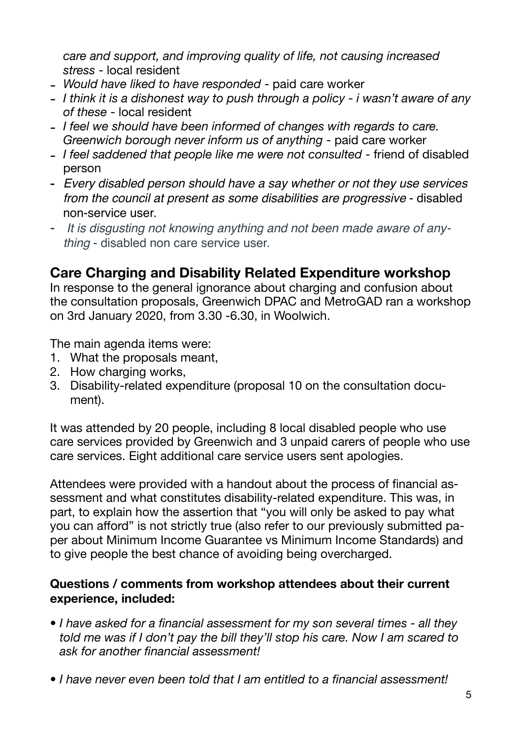*care and support, and improving quality of life, not causing increased stress* - local resident

- *Would have liked to have responded* paid care worker
- *I think it is a dishonest way to push through a policy i wasn't aware of any of these* - local resident
- *I feel we should have been informed of changes with regards to care. Greenwich borough never inform us of anything* - paid care worker
- *I feel saddened that people like me were not consulted* friend of disabled person
- *Every disabled person should have a say whether or not they use services from the council at present as some disabilities are progressive* - disabled non-service user.
- *It is disgusting not knowing anything and not been made aware of anything* - disabled non care service user.

## **Care Charging and Disability Related Expenditure workshop**

In response to the general ignorance about charging and confusion about the consultation proposals, Greenwich DPAC and MetroGAD ran a workshop on 3rd January 2020, from 3.30 -6.30, in Woolwich.

The main agenda items were:

- 1. What the proposals meant,
- 2. How charging works,
- 3. Disability-related expenditure (proposal 10 on the consultation document).

It was attended by 20 people, including 8 local disabled people who use care services provided by Greenwich and 3 unpaid carers of people who use care services. Eight additional care service users sent apologies.

Attendees were provided with a handout about the process of financial assessment and what constitutes disability-related expenditure. This was, in part, to explain how the assertion that "you will only be asked to pay what you can afford" is not strictly true (also refer to our previously submitted paper about Minimum Income Guarantee vs Minimum Income Standards) and to give people the best chance of avoiding being overcharged.

#### **Questions / comments from workshop attendees about their current experience, included:**

- *• I have asked for a financial assessment for my son several times all they told me was if I don't pay the bill they'll stop his care. Now I am scared to ask for another financial assessment!*
- *• I have never even been told that I am entitled to a financial assessment!*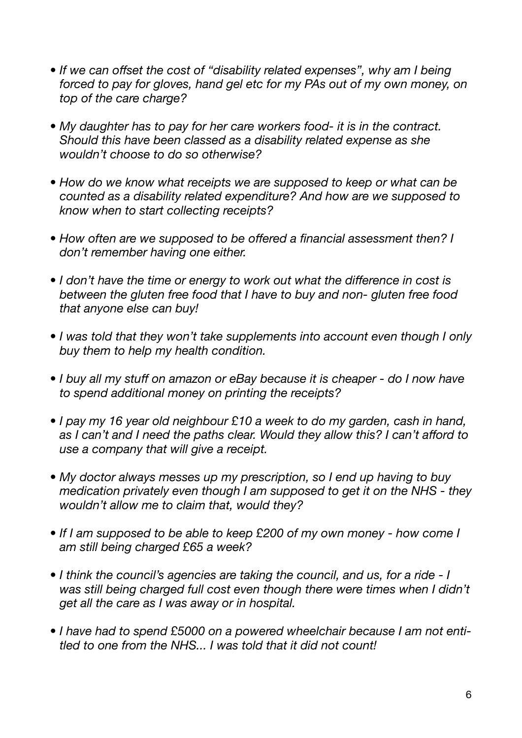- If we can offset the cost of "disability related expenses", why am I being *forced to pay for gloves, hand gel etc for my PAs out of my own money, on top of the care charge?*
- *• My daughter has to pay for her care workers food- it is in the contract. Should this have been classed as a disability related expense as she wouldn't choose to do so otherwise?*
- *• How do we know what receipts we are supposed to keep or what can be counted as a disability related expenditure? And how are we supposed to know when to start collecting receipts?*
- *• How often are we supposed to be offered a financial assessment then? I don't remember having one either.*
- *I don't have the time or energy to work out what the difference in cost is between the gluten free food that I have to buy and non- gluten free food that anyone else can buy!*
- *• I was told that they won't take supplements into account even though I only buy them to help my health condition.*
- *• I buy all my stuff on amazon or eBay because it is cheaper do I now have to spend additional money on printing the receipts?*
- *• I pay my 16 year old neighbour £10 a week to do my garden, cash in hand, as I can't and I need the paths clear. Would they allow this? I can't afford to use a company that will give a receipt.*
- *• My doctor always messes up my prescription, so I end up having to buy medication privately even though I am supposed to get it on the NHS - they wouldn't allow me to claim that, would they?*
- *• If I am supposed to be able to keep £200 of my own money how come I am still being charged £65 a week?*
- *• I think the council's agencies are taking the council, and us, for a ride I was still being charged full cost even though there were times when I didn't get all the care as I was away or in hospital.*
- *• I have had to spend £5000 on a powered wheelchair because I am not entitled to one from the NHS... I was told that it did not count!*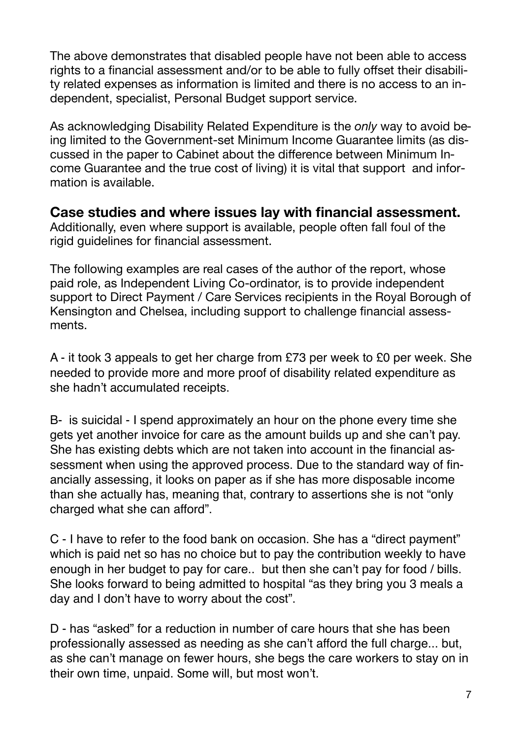The above demonstrates that disabled people have not been able to access rights to a financial assessment and/or to be able to fully offset their disability related expenses as information is limited and there is no access to an independent, specialist, Personal Budget support service.

As acknowledging Disability Related Expenditure is the *only* way to avoid being limited to the Government-set Minimum Income Guarantee limits (as discussed in the paper to Cabinet about the difference between Minimum Income Guarantee and the true cost of living) it is vital that support and information is available.

**Case studies and where issues lay with financial assessment.**  Additionally, even where support is available, people often fall foul of the rigid guidelines for financial assessment.

The following examples are real cases of the author of the report, whose paid role, as Independent Living Co-ordinator, is to provide independent support to Direct Payment / Care Services recipients in the Royal Borough of Kensington and Chelsea, including support to challenge financial assessments.

A - it took 3 appeals to get her charge from £73 per week to £0 per week. She needed to provide more and more proof of disability related expenditure as she hadn't accumulated receipts.

B- is suicidal - I spend approximately an hour on the phone every time she gets yet another invoice for care as the amount builds up and she can't pay. She has existing debts which are not taken into account in the financial assessment when using the approved process. Due to the standard way of financially assessing, it looks on paper as if she has more disposable income than she actually has, meaning that, contrary to assertions she is not "only charged what she can afford".

C - I have to refer to the food bank on occasion. She has a "direct payment" which is paid net so has no choice but to pay the contribution weekly to have enough in her budget to pay for care.. but then she can't pay for food / bills. She looks forward to being admitted to hospital "as they bring you 3 meals a day and I don't have to worry about the cost".

D - has "asked" for a reduction in number of care hours that she has been professionally assessed as needing as she can't afford the full charge... but, as she can't manage on fewer hours, she begs the care workers to stay on in their own time, unpaid. Some will, but most won't.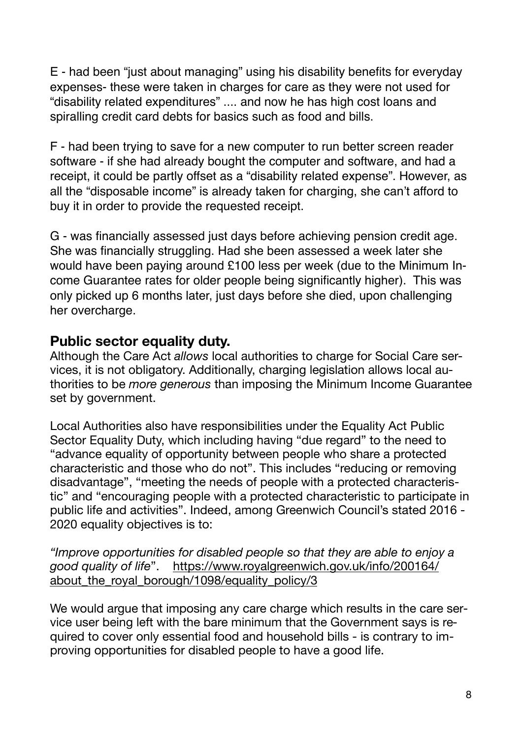E - had been "just about managing" using his disability benefits for everyday expenses- these were taken in charges for care as they were not used for "disability related expenditures" .... and now he has high cost loans and spiralling credit card debts for basics such as food and bills.

F - had been trying to save for a new computer to run better screen reader software - if she had already bought the computer and software, and had a receipt, it could be partly offset as a "disability related expense". However, as all the "disposable income" is already taken for charging, she can't afford to buy it in order to provide the requested receipt.

G - was financially assessed just days before achieving pension credit age. She was financially struggling. Had she been assessed a week later she would have been paying around £100 less per week (due to the Minimum Income Guarantee rates for older people being significantly higher). This was only picked up 6 months later, just days before she died, upon challenging her overcharge.

#### **Public sector equality duty.**

Although the Care Act *allows* local authorities to charge for Social Care services, it is not obligatory. Additionally, charging legislation allows local authorities to be *more generous* than imposing the Minimum Income Guarantee set by government.

Local Authorities also have responsibilities under the Equality Act Public Sector Equality Duty, which including having "due regard" to the need to "advance equality of opportunity between people who share a protected characteristic and those who do not". This includes "reducing or removing disadvantage", "meeting the needs of people with a protected characteristic" and "encouraging people with a protected characteristic to participate in public life and activities". Indeed, among Greenwich Council's stated 2016 - 2020 equality objectives is to:

*"Improve opportunities for disabled people so that they are able to enjoy a good quality of life*". [https://www.royalgreenwich.gov.uk/info/200164/](https://www.royalgreenwich.gov.uk/info/200164/about_the_royal_borough/1098/equality_policy/3) about the royal borough/1098/equality policy/3

We would arque that imposing any care charge which results in the care service user being left with the bare minimum that the Government says is required to cover only essential food and household bills - is contrary to improving opportunities for disabled people to have a good life.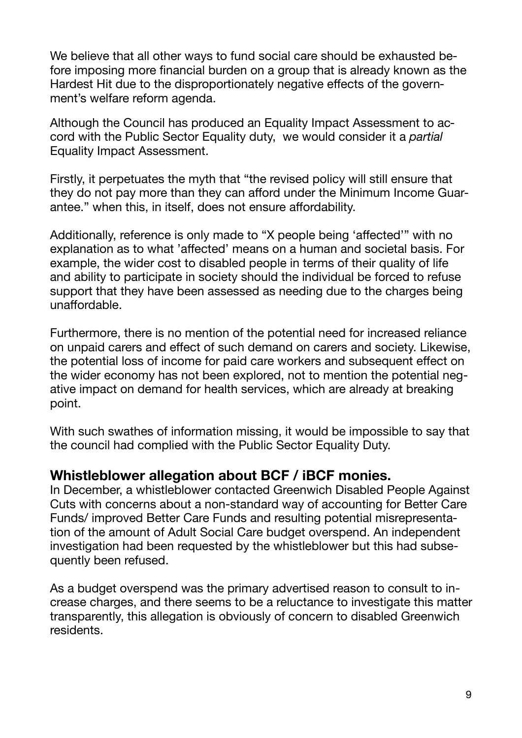We believe that all other ways to fund social care should be exhausted before imposing more financial burden on a group that is already known as the Hardest Hit due to the disproportionately negative effects of the government's welfare reform agenda.

Although the Council has produced an Equality Impact Assessment to accord with the Public Sector Equality duty, we would consider it a *partial*  Equality Impact Assessment.

Firstly, it perpetuates the myth that "the revised policy will still ensure that they do not pay more than they can afford under the Minimum Income Guarantee." when this, in itself, does not ensure affordability.

Additionally, reference is only made to "X people being 'affected'" with no explanation as to what 'affected' means on a human and societal basis. For example, the wider cost to disabled people in terms of their quality of life and ability to participate in society should the individual be forced to refuse support that they have been assessed as needing due to the charges being unaffordable.

Furthermore, there is no mention of the potential need for increased reliance on unpaid carers and effect of such demand on carers and society. Likewise, the potential loss of income for paid care workers and subsequent effect on the wider economy has not been explored, not to mention the potential negative impact on demand for health services, which are already at breaking point.

With such swathes of information missing, it would be impossible to say that the council had complied with the Public Sector Equality Duty.

### **Whistleblower allegation about BCF / iBCF monies.**

In December, a whistleblower contacted Greenwich Disabled People Against Cuts with concerns about a non-standard way of accounting for Better Care Funds/ improved Better Care Funds and resulting potential misrepresentation of the amount of Adult Social Care budget overspend. An independent investigation had been requested by the whistleblower but this had subsequently been refused.

As a budget overspend was the primary advertised reason to consult to increase charges, and there seems to be a reluctance to investigate this matter transparently, this allegation is obviously of concern to disabled Greenwich residents.